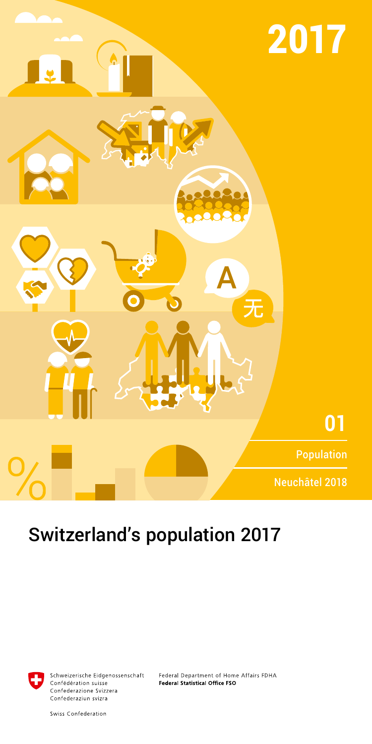

# Switzerland's population 2017



Schweizerische Eidgenossenschaft Confédération suisse Confederazione Svizzera Confederaziun svizra

Federal Department of Home Affairs FDHA Federal Statistical Office FSO

Swiss Confederation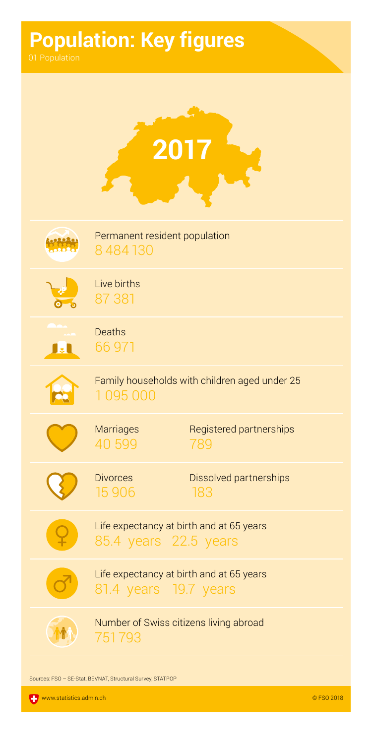# **Population: Key figures**

|    | Permanent resident population<br>8484130                          |
|----|-------------------------------------------------------------------|
|    | Live births<br>87 381                                             |
| Ŀ. | Deaths<br>66 971                                                  |
|    | Family households with children aged under 25<br>1095000          |
|    | <b>Marriages</b><br>Registered partnerships<br>40 599<br>789      |
|    | <b>Divorces</b><br>Dissolved partnerships<br>15 906<br>183        |
|    | Life expectancy at birth and at 65 years<br>85.4 years 22.5 years |
|    | Life expectancy at birth and at 65 years<br>81.4 years 19.7 years |
|    | Number of Swiss citizens living abroad<br>751793                  |
|    | Sources: FSO - SE-Stat, BEVNAT, Structural Survey, STATPOP        |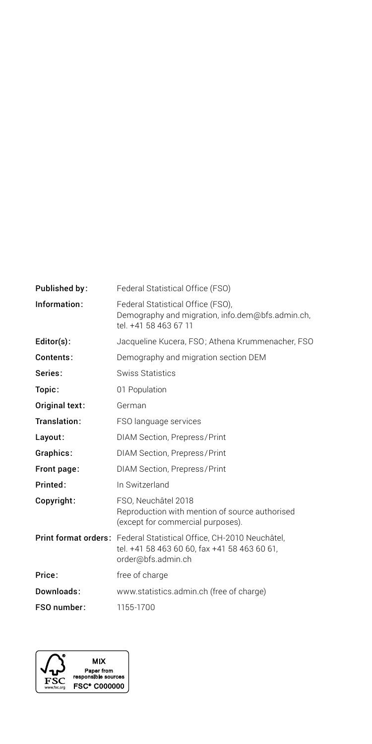| Published by:  | Federal Statistical Office (FSO)                                                                                                          |
|----------------|-------------------------------------------------------------------------------------------------------------------------------------------|
| Information:   | Federal Statistical Office (FSO),<br>Demography and migration, info.dem@bfs.admin.ch,<br>tel. +41 58 463 67 11                            |
| Editor(s):     | Jacqueline Kucera, FSO; Athena Krummenacher, FSO                                                                                          |
| Contents:      | Demography and migration section DEM                                                                                                      |
| Series:        | Swiss Statistics                                                                                                                          |
| Topic:         | 01 Population                                                                                                                             |
| Original text: | German                                                                                                                                    |
| Translation:   | FSO language services                                                                                                                     |
| Layout:        | DIAM Section, Prepress/Print                                                                                                              |
| Graphics:      | DIAM Section, Prepress/Print                                                                                                              |
| Front page:    | DIAM Section, Prepress/Print                                                                                                              |
| Printed:       | In Switzerland                                                                                                                            |
| Copyright:     | FSO. Neuchâtel 2018<br>Reproduction with mention of source authorised<br>(except for commercial purposes).                                |
|                | Print format orders: Federal Statistical Office, CH-2010 Neuchâtel,<br>tel. +41 58 463 60 60, fax +41 58 463 60 61,<br>order@bfs.admin.ch |
| Price:         | free of charge                                                                                                                            |
| Downloads:     | www.statistics.admin.ch (free of charge)                                                                                                  |
| FSO number:    | 1155-1700                                                                                                                                 |

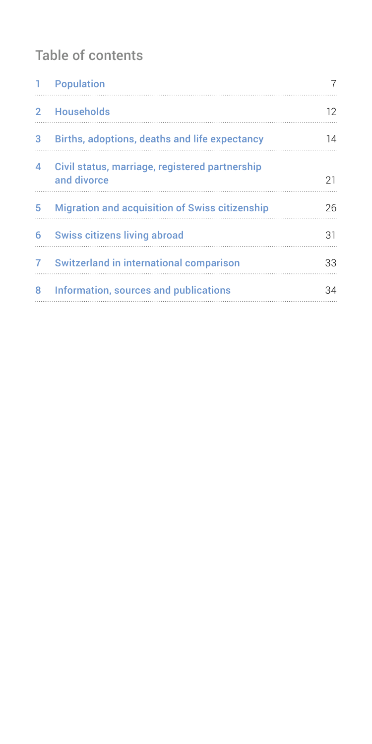# Table of contents

| Т.             | Population                                                    |                   |
|----------------|---------------------------------------------------------------|-------------------|
| $\overline{2}$ | <b>Households</b>                                             | $12 \overline{ }$ |
| 3              | Births, adoptions, deaths and life expectancy                 | 14                |
| 4              | Civil status, marriage, registered partnership<br>and divorce | 21                |
| 5              | <b>Migration and acquisition of Swiss citizenship</b>         | 26                |
| 6              | Swiss citizens living abroad                                  | 31                |
| 7              | Switzerland in international comparison                       | 33                |
| 8              | Information, sources and publications                         | 34                |
|                |                                                               |                   |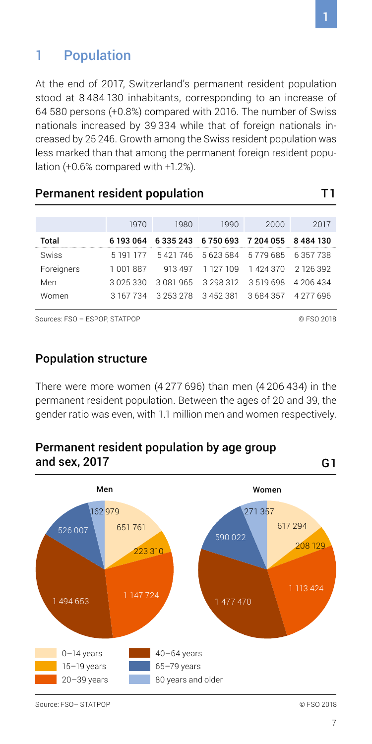#### nationals increased by 39 334 while that of foreign nationals in-

<span id="page-6-0"></span>1 Population

creased by 25 246. Growth among the Swiss resident population was less marked than that among the permanent foreign resident population (+0.6% compared with +1.2%).

At the end of 2017, Switzerland's permanent resident population stood at 8 484 130 inhabitants, corresponding to an increase of 64 580 persons (+0.8%) compared with 2016. The number of Swiss

| Permanent resident population |  |  |
|-------------------------------|--|--|
|-------------------------------|--|--|

|            | 1970      | 1980 | 1990                          | 2000                                              | 2017      |
|------------|-----------|------|-------------------------------|---------------------------------------------------|-----------|
| Total      |           |      |                               | 6 193 064 6 335 243 6 750 693 7 204 055 8 484 130 |           |
| Swiss      | 5 191 177 |      |                               | 5421746 5623584 5779685 6357738                   |           |
| Foreigners | 1 001 887 |      |                               | 913 497 1 127 109 1 424 370 2 126 392             |           |
| Men        | 3 025 330 |      | 3 081 965 3 298 312 3 519 698 |                                                   | 4 206 434 |
| Women      |           |      |                               | 3 167 734 3 253 278 3 452 381 3 684 357 4 277 696 |           |

Sources: FSO – ESPOP, STATPOP © FSO 2018

#### Population structure

There were more women (4 277 696) than men (4 206 434) in the permanent resident population. Between the ages of 20 and 39, the gender ratio was even, with 1.1 million men and women respectively.

Permanent resident population by age group and sex, 2017 G1



7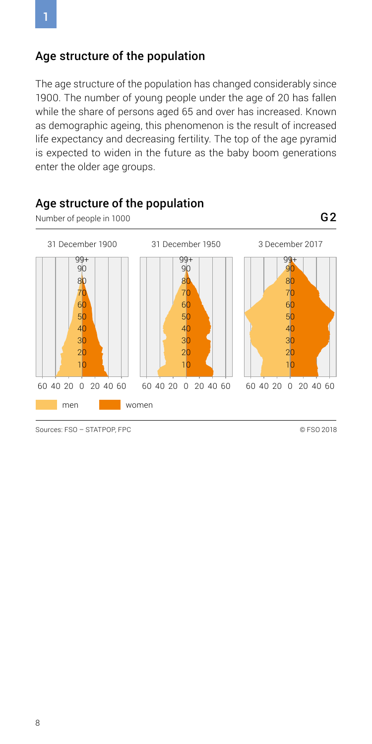# Age structure of the population

The age structure of the population has changed considerably since 1900. The number of young people under the age of 20 has fallen while the share of persons aged 65 and over has increased. Known as demographic ageing, this phenomenon is the result of increased life expectancy and decreasing fertility. The top of the age pyramid is expected to widen in the future as the baby boom generations enter the older age groups.



Sources: FSO – STATPOP, FPC © FSO 2018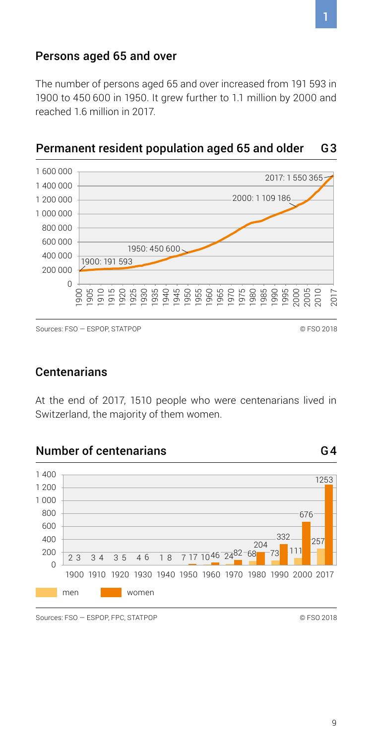#### Persons aged 65 and over

The number of persons aged 65 and over increased from 191 593 in 1900 to 450 600 in 1950. It grew further to 1.1 million by 2000 and reached 1.6 million in 2017.



#### Permanent resident population aged 65 and older G3

Sources: FSO — ESPOP, STATPOP © FSO 2018

#### **Centenarians**

At the end of 2017, 1510 people who were centenarians lived in Switzerland, the majority of them women.







Sources: FSO — ESPOP, FPC, STATPOP © FSO 2018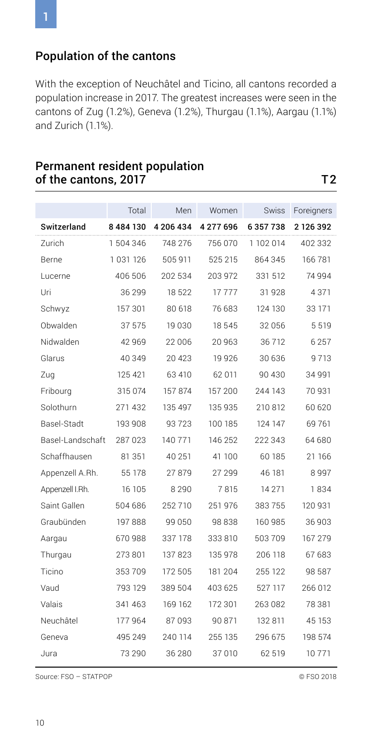# Population of the cantons

With the exception of Neuchâtel and Ticino, all cantons recorded a population increase in 2017. The greatest increases were seen in the cantons of Zug (1.2%), Geneva (1.2%), Thurgau (1.1%), Aargau (1.1%) and Zurich (1.1%).

#### Permanent resident population of the cantons, 2017 T2

|                  | Total     | Men       | Women     | <b>Swiss</b> | Foreigners |
|------------------|-----------|-----------|-----------|--------------|------------|
| Switzerland      | 8484130   | 4 206 434 | 4 277 696 | 6357738      | 2 126 392  |
| Zurich           | 1 504 346 | 748 276   | 756 070   | 1 102 014    | 402 332    |
| Berne            | 1 031 126 | 505 911   | 525 215   | 864 345      | 166 781    |
| Lucerne          | 406 506   | 202 534   | 203 972   | 331 512      | 74 994     |
| Uri              | 36 299    | 18522     | 17777     | 31 928       | 4371       |
| Schwyz           | 157 301   | 80 618    | 76 683    | 124 130      | 33 171     |
| Obwalden         | 37 575    | 19 0 30   | 18 545    | 32 056       | 5519       |
| Nidwalden        | 42 969    | 22 006    | 20 963    | 36712        | 6 257      |
| Glarus           | 40 349    | 20 4 23   | 19 9 26   | 30 636       | 9713       |
| Zug              | 125 421   | 63 410    | 62 011    | 90 430       | 34 991     |
| Fribourg         | 315 074   | 157874    | 157 200   | 244 143      | 70 931     |
| Solothurn        | 271 432   | 135 497   | 135 935   | 210 812      | 60 620     |
| Basel-Stadt      | 193 908   | 93723     | 100 185   | 124 147      | 69761      |
| Basel-Landschaft | 287023    | 140 771   | 146 252   | 222 343      | 64 680     |
| Schaffhausen     | 81 351    | 40 251    | 41 100    | 60 185       | 21 166     |
| Appenzell A.Rh.  | 55 178    | 27879     | 27 299    | 46 181       | 8997       |
| Appenzell I.Rh.  | 16 105    | 8 2 9 0   | 7815      | 14 2 7 1     | 1834       |
| Saint Gallen     | 504 686   | 252710    | 251 976   | 383755       | 120 931    |
| Graubünden       | 197888    | 99 050    | 98838     | 160 985      | 36 903     |
| Aargau           | 670988    | 337 178   | 333 810   | 503709       | 167 279    |
| Thurgau          | 273 801   | 137823    | 135 978   | 206 118      | 67 683     |
| Ticino           | 353709    | 172 505   | 181 204   | 255 122      | 98 587     |
| Vaud             | 793 129   | 389 504   | 403 625   | 527 117      | 266 012    |
| Valais           | 341 463   | 169 162   | 172 301   | 263082       | 78 381     |
| Neuchâtel        | 177964    | 87093     | 90 871    | 132 811      | 45 153     |
| Geneva           | 495 249   | 240 114   | 255 135   | 296 675      | 198 574    |
| Jura             | 73 290    | 36 280    | 37 010    | 62 519       | 10771      |

Source: FSO – STATPOP © FSO 2018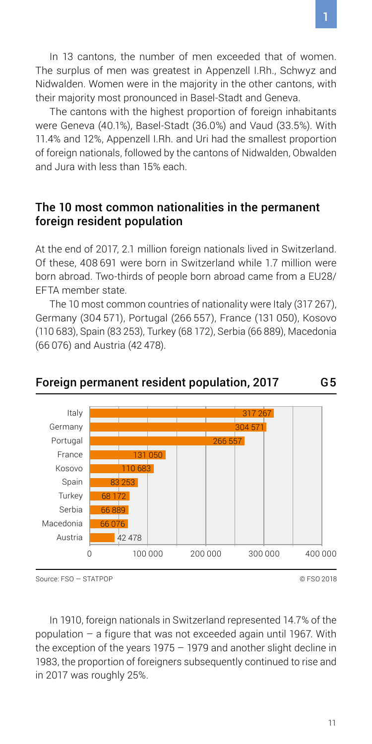In 13 cantons, the number of men exceeded that of women. The surplus of men was greatest in Appenzell I.Rh., Schwyz and Nidwalden. Women were in the majority in the other cantons, with their majority most pronounced in Basel-Stadt and Geneva.

The cantons with the highest proportion of foreign inhabitants were Geneva (40.1%), Basel-Stadt (36.0%) and Vaud (33.5%). With 11.4% and 12%, Appenzell I.Rh. and Uri had the smallest proportion of foreign nationals, followed by the cantons of Nidwalden, Obwalden and Jura with less than 15% each.

#### The 10 most common nationalities in the permanent foreign resident population

At the end of 2017, 2.1 million foreign nationals lived in Switzerland. Of these, 408 691 were born in Switzerland while 1.7 million were born abroad. Two-thirds of people born abroad came from a EU28/ EFTA member state.

The 10 most common countries of nationality were Italy (317 267), Germany (304 571), Portugal (266 557), France (131 050), Kosovo (110 683), Spain (83 253), Turkey (68 172), Serbia (66 889), Macedonia (66 076) and Austria (42 478).



#### Foreign permanent resident population, 2017 G5

Source: FSO – STATPOP © FSO 2018

In 1910, foreign nationals in Switzerland represented 14.7% of the population – a figure that was not exceeded again until 1967. With the exception of the years 1975 – 1979 and another slight decline in 1983, the proportion of foreigners subsequently continued to rise and in 2017 was roughly 25%.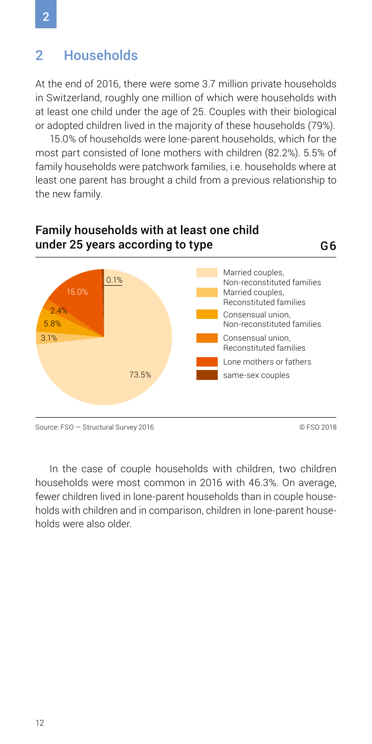# <span id="page-11-0"></span>2 Households

At the end of 2016, there were some 3.7 million private households in Switzerland, roughly one million of which were households with at least one child under the age of 25. Couples with their biological or adopted children lived in the majority of these households (79%).

15.0% of households were lone-parent households, which for the most part consisted of lone mothers with children (82.2%). 5.5% of family households were patchwork families, i.e. households where at least one parent has brought a child from a previous relationship to the new family.



#### Family households with at least one child under 25 years according to type G6

Source: FSO — Structural Survey 2016 **Contract Contract Contract Contract Contract Contract Contract Contract Contract Contract Contract Contract Contract Contract Contract Contract Contract Contract Contract Contract Cont** 

In the case of couple households with children, two children households were most common in 2016 with 46.3%. On average, fewer children lived in lone-parent households than in couple households with children and in comparison, children in lone-parent households were also older.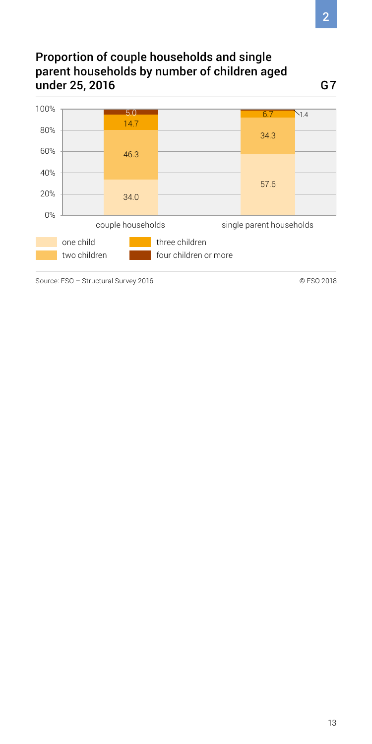# Proportion of couple households and single parent households by number of children aged under 25, 2016 G7



Source: FSO – Structural Survey 2016 **Discriming the COST COST** OF FSO 2018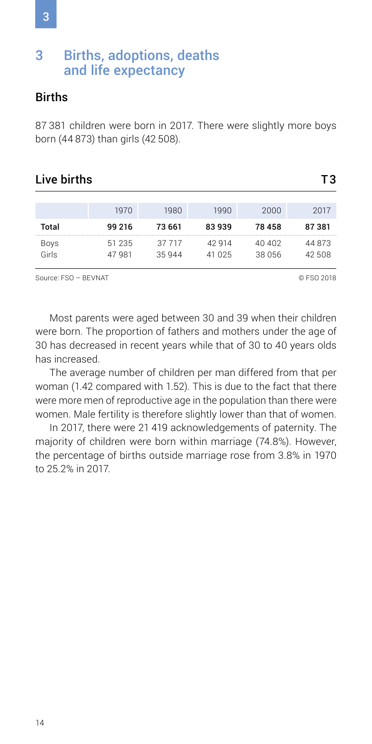# <span id="page-13-0"></span>3 Births, adoptions, deaths and life expectancy

#### **Births**

87 381 children were born in 2017. There were slightly more boys born (44 873) than girls (42 508).

| Live births          |                  |                   |                   |                   | тз               |
|----------------------|------------------|-------------------|-------------------|-------------------|------------------|
|                      | 1970             | 1980              | 1990              | 2000              | 2017             |
| Total                | 99 216           | 73 661            | 83939             | 78 458            | 87381            |
| Boys<br>Girls        | 51 235<br>47 981 | 37 7 17<br>35 944 | 42 914<br>41 0 25 | 40 40 2<br>38 056 | 44 873<br>42 508 |
| Source: ESO - BEVNAT |                  |                   |                   |                   | © FSO 2018       |

Most parents were aged between 30 and 39 when their children were born. The proportion of fathers and mothers under the age of 30 has decreased in recent years while that of 30 to 40 years olds has increased.

The average number of children per man differed from that per woman (1.42 compared with 1.52). This is due to the fact that there were more men of reproductive age in the population than there were women. Male fertility is therefore slightly lower than that of women.

In 2017, there were 21 419 acknowledgements of paternity. The majority of children were born within marriage (74.8%). However, the percentage of births outside marriage rose from 3.8% in 1970 to 25.2% in 2017.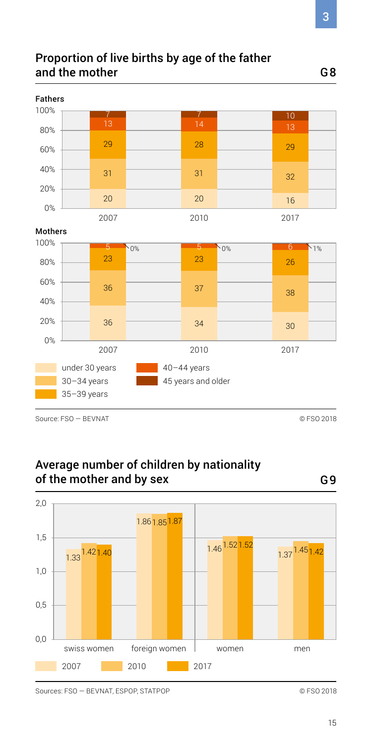# Proportion of live births by age of the father and the mother G8



# Average number of children by nationality of the mother and by sex G9



Sources: FSO — BEVNAT, ESPOP, STATPOP © FSO 2018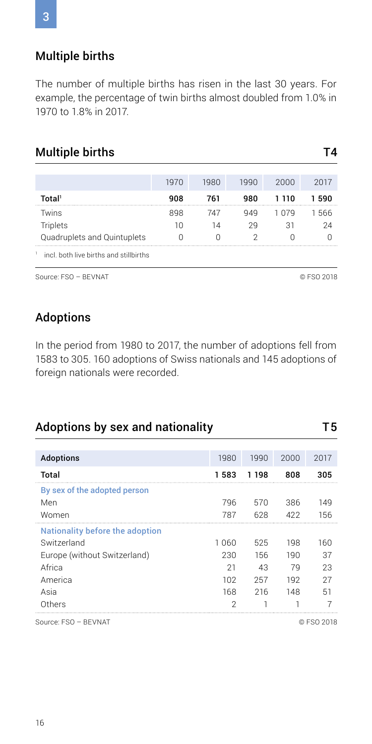#### Multiple births

The number of multiple births has risen in the last 30 years. For example, the percentage of twin births almost doubled from 1.0% in 1970 to 1.8% in 2017.

# Multiple births T4

|                                        | 1970 | 1980 | 1990 | 2000 | 2017 |
|----------------------------------------|------|------|------|------|------|
| Total <sup>1</sup>                     | 908  | 761  | 980  | 110  | 590  |
| Twins                                  | 898  | 747  | 949  |      | 566  |
| Triplets                               |      | 14   | 29   | 31   | 24   |
| Quadruplets and Quintuplets            |      |      |      |      |      |
| incl. both live births and stillbirths |      |      |      |      |      |

Source: FSO – BEVNAT © FSO 2018

# Adoptions

In the period from 1980 to 2017, the number of adoptions fell from 1583 to 305. 160 adoptions of Swiss nationals and 145 adoptions of foreign nationals were recorded.

| Adoptions by sex and nationality |                |       |      | Т5   |
|----------------------------------|----------------|-------|------|------|
|                                  |                |       |      |      |
| <b>Adoptions</b>                 | 1980           | 1990  | 2000 | 2017 |
| Total                            | 1583           | 1 198 | 808  | 305  |
| By sex of the adopted person     |                |       |      |      |
| Men                              | 796            | 570   | 386  | 149  |
| Women                            | 787            | 628   | 422  | 156  |
| Nationality before the adoption  |                |       |      |      |
| Switzerland                      | 1 060          | 525   | 198  | 160  |
| Europe (without Switzerland)     | 230            | 156   | 190  | 37   |
| Africa                           | 21             | 43    | 79   | 23   |
| America                          | 102            | 257   | 192  | 27   |
| Asia                             | 168            | 216   | 148  | 51   |
| Others                           | $\mathfrak{D}$ |       |      |      |

Source: FSO – BEVNAT © FSO 2018

3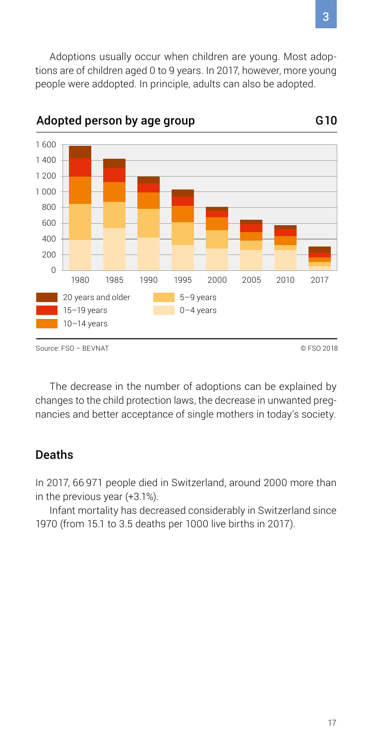Adoptions usually occur when children are young. Most adoptions are of children aged 0 to 9 years. In 2017, however, more young people were addopted. In principle, adults can also be adopted.



#### Adopted person by age group

The decrease in the number of adoptions can be explained by changes to the child protection laws, the decrease in unwanted preg-

nancies and better acceptance of single mothers in today's society.

#### Deaths

In 2017, 66 971 people died in Switzerland, around 2000 more than in the previous year (+3.1%).

Infant mortality has decreased considerably in Switzerland since 1970 (from 15.1 to 3.5 deaths per 1000 live births in 2017).

G10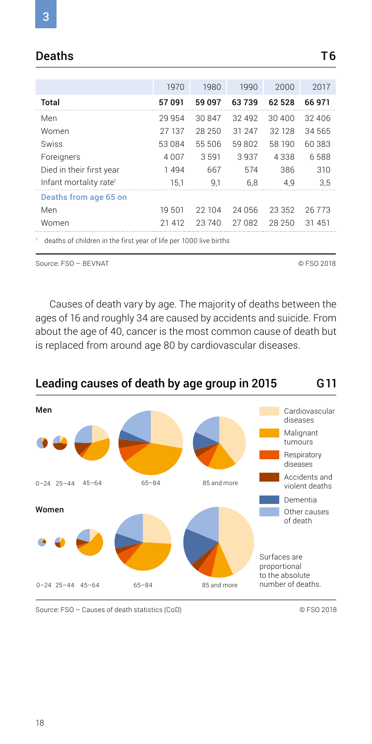#### Deaths T6

|                                    | 1970    | 1980   | 1990   | 2000   | 2017   |
|------------------------------------|---------|--------|--------|--------|--------|
| Total                              | 57091   | 59 097 | 63739  | 62 528 | 66 971 |
| Men                                | 29 954  | 30847  | 32 492 | 30 400 | 32 406 |
| Women                              | 27 137  | 28 250 | 31 247 | 32 128 | 34 565 |
| Swiss                              | 53 084  | 55 506 | 59802  | 58 190 | 60383  |
| Foreigners                         | 4 0 0 7 | 3591   | 3937   | 4338   | 6588   |
| Died in their first year           | 1494    | 667    | 574    | 386    | 310    |
| Infant mortality rate <sup>1</sup> | 15.1    | 9.1    | 6.8    | 4.9    | 3,5    |
| Deaths from age 65 on              |         |        |        |        |        |
| Men                                | 19501   | 22 104 | 24 056 | 23352  | 26773  |
| Women                              | 21 412  | 23 740 | 27 082 | 28 250 | 31 451 |
|                                    |         |        |        |        |        |

<sup>1</sup> deaths of children in the first year of life per 1000 live births

Source: FSO – BEVNAT © FSO 2018

Causes of death vary by age. The majority of deaths between the ages of 16 and roughly 34 are caused by accidents and suicide. From about the age of 40, cancer is the most common cause of death but is replaced from around age 80 by cardiovascular diseases.



# Leading causes of death by age group in 2015

G11

Source: FSO – Causes of death statistics (CoD) © FSO 2018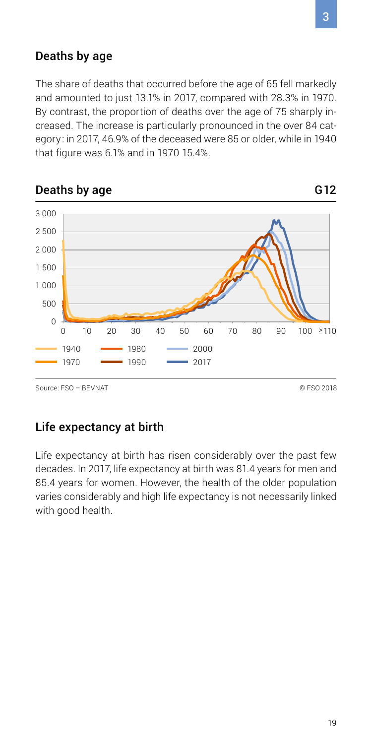#### Deaths by age

The share of deaths that occurred before the age of 65 fell markedly and amounted to just 13.1% in 2017, compared with 28.3% in 1970. By contrast, the proportion of deaths over the age of 75 sharply increased. The increase is particularly pronounced in the over 84 category : in 2017, 46.9% of the deceased were 85 or older, while in 1940 that figure was 6.1% and in 1970 15.4%.



# Deaths by age G12

Source: FSO – BEVNAT © FSO 2018

# Life expectancy at birth

Life expectancy at birth has risen considerably over the past few decades. In 2017, life expectancy at birth was 81.4 years for men and 85.4 years for women. However, the health of the older population varies considerably and high life expectancy is not necessarily linked with good health.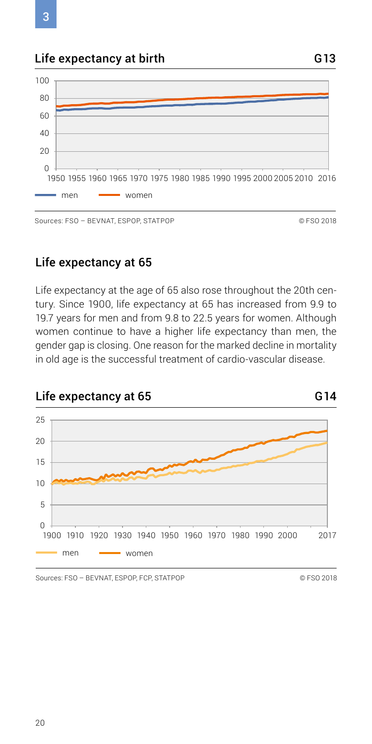#### Life expectancy at birth G13



Sources: FSO – BEVNAT, ESPOP, STATPOP © FSO 2018

# Life expectancy at 65

Life expectancy at the age of 65 also rose throughout the 20th century. Since 1900, life expectancy at 65 has increased from 9.9 to 19.7 years for men and from 9.8 to 22.5 years for women. Although women continue to have a higher life expectancy than men, the gender gap is closing. One reason for the marked decline in mortality in old age is the successful treatment of cardio-vascular disease.



Sources: FSO – BEVNAT, ESPOP, FCP, STATPOP © FSO 2018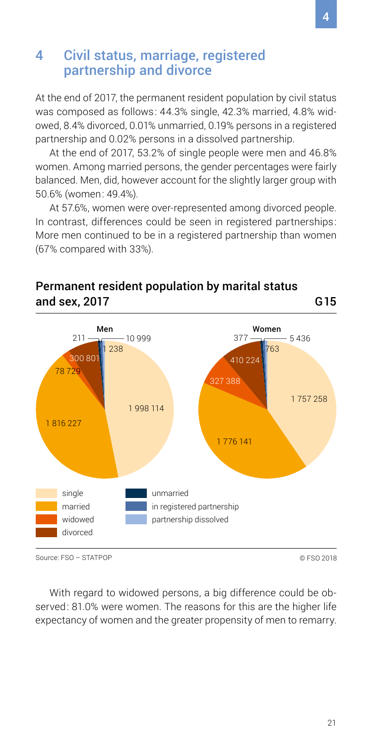# <span id="page-20-0"></span>4 Civil status, marriage, registered partnership and divorce

At the end of 2017, the permanent resident population by civil status was composed as follows: 44.3% single, 42.3% married, 4.8% widowed, 8.4% divorced, 0.01% unmarried, 0.19% persons in a registered partnership and 0.02% persons in a dissolved partnership.

At the end of 2017, 53.2% of single people were men and 46.8% women. Among married persons, the gender percentages were fairly balanced. Men, did, however account for the slightly larger group with 50.6% (women: 49.4%).

At 57.6%, women were over-represented among divorced people. In contrast, differences could be seen in registered partnerships: More men continued to be in a registered partnership than women (67% compared with 33%).



#### Permanent resident population by marital status and sex, 2017 G15

With regard to widowed persons, a big difference could be observed: 81.0% were women. The reasons for this are the higher life expectancy of women and the greater propensity of men to remarry.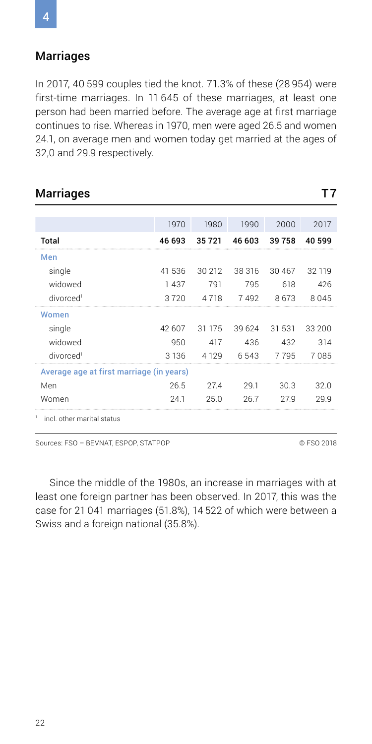#### Marriages

In 2017, 40 599 couples tied the knot. 71.3% of these (28 954) were first-time marriages. In 11 645 of these marriages, at least one person had been married before. The average age at first marriage continues to rise. Whereas in 1970, men were aged 26.5 and women 24.1, on average men and women today get married at the ages of 32,0 and 29.9 respectively.

|                                          | 1970    | 1980    | 1990   | 2000     | 2017   |
|------------------------------------------|---------|---------|--------|----------|--------|
| Total                                    | 46 693  | 35 7 21 | 46 603 | 39758    | 40 599 |
| Men                                      |         |         |        |          |        |
| single                                   | 41 536  | 30 212  | 38 316 | 30 4 6 7 | 32 119 |
| widowed                                  | 1437    | 791     | 795    | 618      | 426    |
| divorced <sup>1</sup>                    | 3720    | 4 7 1 8 | 7492   | 8673     | 8045   |
| Women                                    |         |         |        |          |        |
| single                                   | 42 607  | 31 175  | 39 624 | 31 531   | 33 200 |
| widowed                                  | 950     | 417     | 436    | 432      | 314    |
| divorced <sup>1</sup>                    | 3 1 3 6 | 4 1 2 9 | 6543   | 7795     | 7085   |
| Average age at first marriage (in years) |         |         |        |          |        |
| Men                                      | 26.5    | 27.4    | 29.1   | 30.3     | 32.0   |
| Women                                    | 24.1    | 25.0    | 26.7   | 27.9     | 29.9   |
| incl. other marital status               |         |         |        |          |        |

# Marriages **T7**

Sources: FSO – BEVNAT, ESPOP, STATPOP © FSO 2018

Since the middle of the 1980s, an increase in marriages with at least one foreign partner has been observed. In 2017, this was the case for 21 041 marriages (51.8%), 14 522 of which were between a Swiss and a foreign national (35.8%).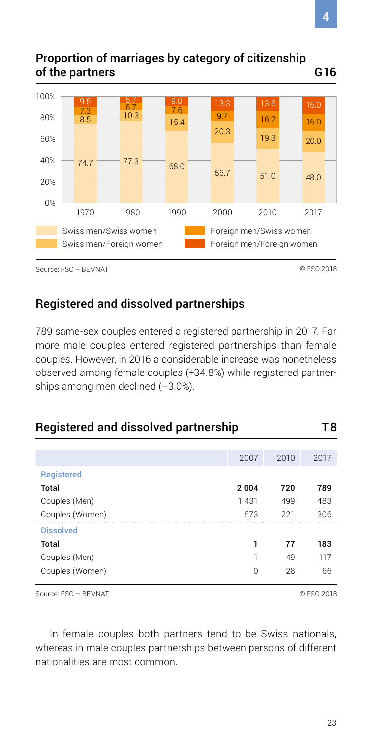#### Proportion of marriages by category of citizenship of the partners G16



# Registered and dissolved partnerships

789 same-sex couples entered a registered partnership in 2017. Far more male couples entered registered partnerships than female couples. However, in 2016 a considerable increase was nonetheless observed among female couples (+34.8%) while registered partnerships among men declined (–3.0%).

| Registered and dissolved partnership |      |      |      |  |
|--------------------------------------|------|------|------|--|
|                                      |      |      |      |  |
|                                      | 2007 | 2010 | 2017 |  |
| <b>Registered</b>                    |      |      |      |  |
| Total                                | 2004 | 720  | 789  |  |
| Couples (Men)                        | 1431 | 499  | 483  |  |
| Couples (Women)                      | 573  | 221  | 306  |  |
| <b>Dissolved</b>                     |      |      |      |  |
| Total                                |      | 77   | 183  |  |
| Couples (Men)                        |      | 49   | 117  |  |
| Couples (Women)                      | Ω    | 28   | 66   |  |

Source: FSO – BEVNAT © FSO 2018

In female couples both partners tend to be Swiss nationals, whereas in male couples partnerships between persons of different nationalities are most common.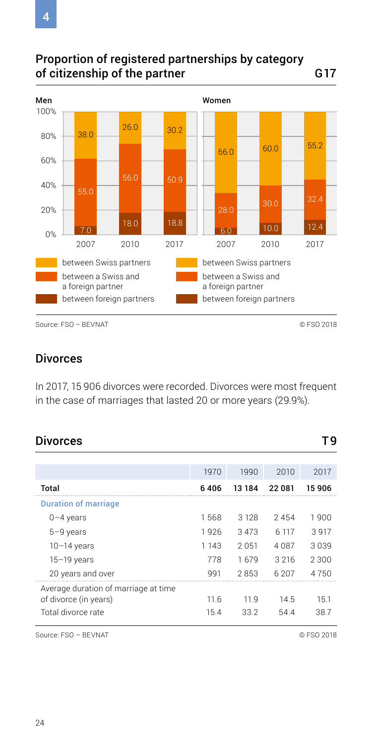# Proportion of registered partnerships by category of citizenship of the partner G17



Source: FSO – BEVNAT © FSO 2018

#### Divorces

In 2017, 15 906 divorces were recorded. Divorces were most frequent in the case of marriages that lasted 20 or more years (29.9%).

| <b>Divorces</b>                      |         |         |         | q      |
|--------------------------------------|---------|---------|---------|--------|
|                                      |         |         |         |        |
|                                      | 1970    | 1990    | 2010    | 2017   |
| Total                                | 6406    | 13 184  | 22 081  | 15 906 |
| <b>Duration of marriage</b>          |         |         |         |        |
| $0 - 4$ years                        | 1568    | 3 1 2 8 | 2454    | 1 900  |
| $5 - 9$ years                        | 1926    | 3473    | 6 1 1 7 | 3917   |
| $10-14$ years                        | 1 1 4 3 | 2051    | 4087    | 3039   |
| $15-19$ years                        | 778     | 1679    | 3 2 1 6 | 2300   |
| 20 years and over                    | 991     | 2853    | 6 207   | 4 750  |
| Average duration of marriage at time |         |         |         |        |
| of divorce (in years)                | 11.6    | 11.9    | 14.5    | 15.1   |
| Total divorce rate                   | 15.4    | 33.2    | 54.4    | 38.7   |

Source: FSO – BEVNAT © FSO 2018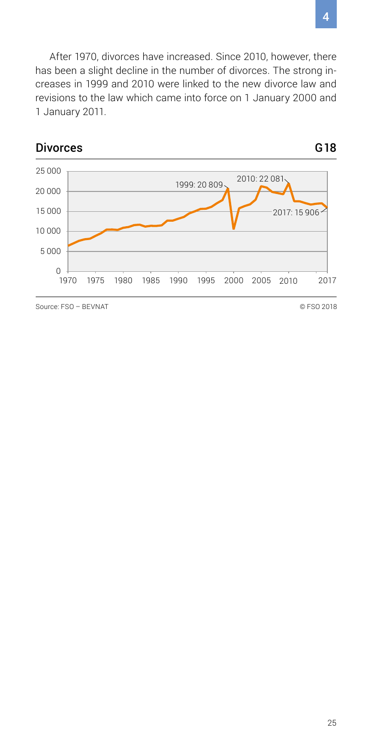After 1970, divorces have increased. Since 2010, however, there has been a slight decline in the number of divorces. The strong increases in 1999 and 2010 were linked to the new divorce law and revisions to the law which came into force on 1 January 2000 and 1 January 2011.



Source: FSO – BEVNAT © FSO 2018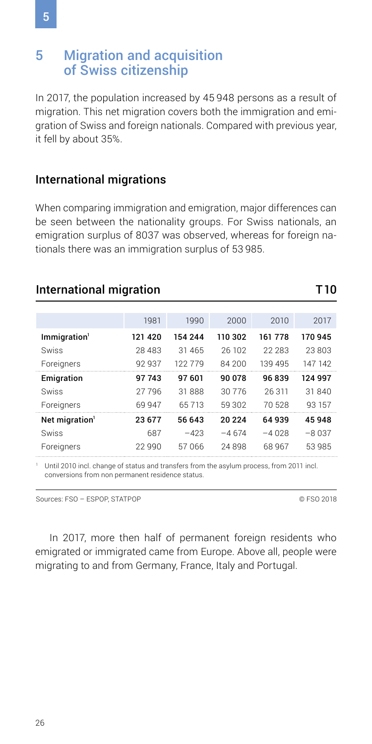# <span id="page-25-0"></span>5 Migration and acquisition of Swiss citizenship

In 2017, the population increased by 45 948 persons as a result of migration. This net migration covers both the immigration and emigration of Swiss and foreign nationals. Compared with previous year, it fell by about 35%.

#### International migrations

When comparing immigration and emigration, major differences can be seen between the nationality groups. For Swiss nationals, an emigration surplus of 8037 was observed, whereas for foreign nationals there was an immigration surplus of 53 985.

#### International migration T10

|                            | 1981    | 1990    | 2000     | 2010    | 2017    |
|----------------------------|---------|---------|----------|---------|---------|
| Immigration <sup>1</sup>   | 121 420 | 154 244 | 110 302  | 161 778 | 170 945 |
| Swiss                      | 28 483  | 31 465  | 26 102   | 22.283  | 23803   |
| Foreigners                 | 92 937  | 122 779 | 84200    | 139 495 | 147 142 |
| Emigration                 | 97 743  | 97 601  | 90 078   | 96839   | 124 997 |
| Swiss                      | 27796   | 31888   | 30 7 7 6 | 26 311  | 31840   |
| Foreigners                 | 69 947  | 65 713  | 59 302   | 70528   | 93 157  |
| Net migration <sup>1</sup> | 23 677  | 56 643  | 20 224   | 64939   | 45948   |
| Swiss                      | 687     | $-423$  | $-4674$  | $-4028$ | $-8037$ |
| Foreigners                 | 22 990  | 57 066  | 24898    | 68 967  | 53 985  |

 Until 2010 incl. change of status and transfers from the asylum process, from 2011 incl. conversions from non permanent residence status.

Sources: FSO – ESPOP, STATPOP © FSO 2018

In 2017, more then half of permanent foreign residents who emigrated or immigrated came from Europe. Above all, people were migrating to and from Germany, France, Italy and Portugal.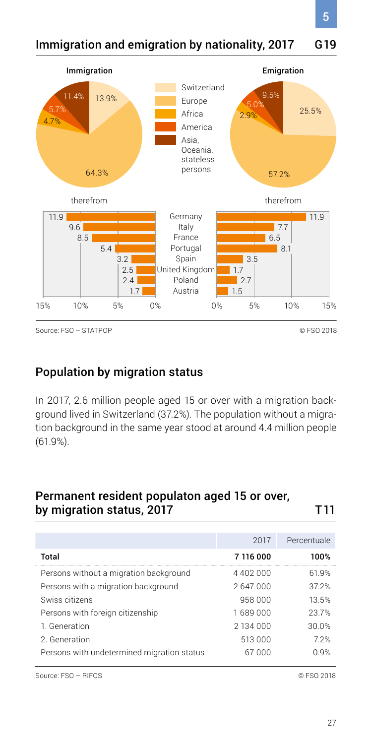# Immigration and emigration by nationality, 2017 G19



Source: FSO – STATPOP © FSO 2018

#### Population by migration status

In 2017, 2.6 million people aged 15 or over with a migration background lived in Switzerland (37.2%). The population without a migration background in the same year stood at around 4.4 million people (61.9%).

#### Permanent resident populaton aged 15 or over, by migration status, 2017 T11

|                                            | 2017      | Percentuale |
|--------------------------------------------|-----------|-------------|
| Total                                      | 7116000   | 100%        |
| Persons without a migration background     | 4402000   | 61.9%       |
| Persons with a migration background        | 2647000   | 37.2%       |
| Swiss citizens                             | 958 000   | 13.5%       |
| Persons with foreign citizenship           | 1 689 000 | 23.7%       |
| 1. Generation                              | 2 134 000 | 30.0%       |
| 2. Generation                              | 513 000   | 72%         |
| Persons with undetermined migration status | 67000     | 0.9%        |

Source: FSO – RIFOS © FSO 2018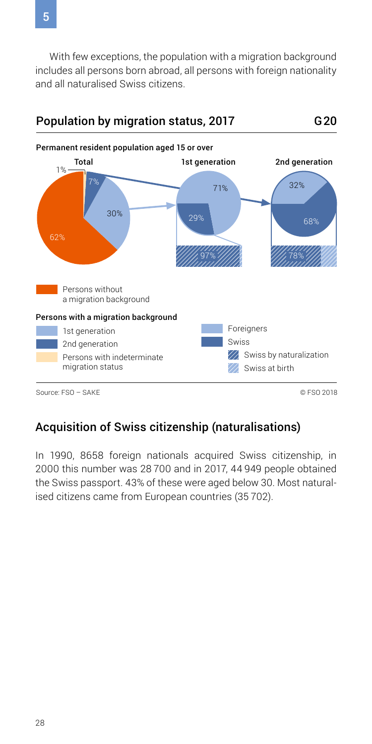With few exceptions, the population with a migration background includes all persons born abroad, all persons with foreign nationality and all naturalised Swiss citizens.



# Acquisition of Swiss citizenship (naturalisations)

In 1990, 8658 foreign nationals acquired Swiss citizenship, in 2000 this number was 28 700 and in 2017, 44 949 people obtained the Swiss passport. 43% of these were aged below 30. Most naturalised citizens came from European countries (35 702).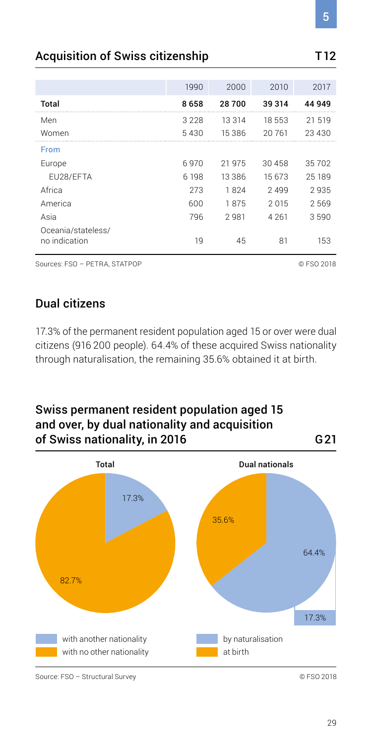|           | 1990    | 2000     | 2010     | 2017    |
|-----------|---------|----------|----------|---------|
| Total     | 8658    | 28700    | 39 314   | 44 949  |
| Men       | 3 2 2 8 | 13314    | 18 5 5 3 | 21 5 19 |
| Women     | 5430    | 15386    | 20761    | 23 430  |
| From      |         |          |          |         |
| Europe    | 6970    | 21 975   | 30 458   | 35702   |
| EU28/EFTA | 6 1 9 8 | 13 3 8 6 | 15 673   | 25 189  |
| Africa    | 273     | 1824     | 2499     | 2935    |
| America   | 600     | 1875     | 2015     | 2569    |
| Asia      | 796     | 2981     | 4 2 6 1  | 3590    |

#### Acquisition of Swiss citizenship T12

Sources: FSO – PETRA, STATPOP © FSO 2018

# Dual citizens

Oceania/stateless/

17.3% of the permanent resident population aged 15 or over were dual citizens (916 200 people). 64.4% of these acquired Swiss nationality through naturalisation, the remaining 35.6% obtained it at birth.

no indication 19 45 81 153

# Swiss permanent resident population aged 15 and over, by dual nationality and acquisition of Swiss nationality, in 2016 G21



Source: FSO – Structural Survey © FSO 2018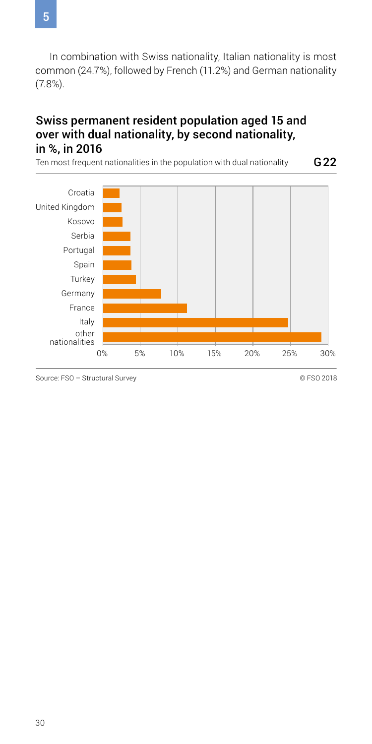In combination with Swiss nationality, Italian nationality is most common (24.7%), followed by French (11.2%) and German nationality (7.8%).

#### Swiss permanent resident population aged 15 and over with dual nationality, by second nationality, in %, in 2016

G22 Ten most frequent nationalities in the population with dual nationality



Source: FSO – Structural Survey © FSO 2018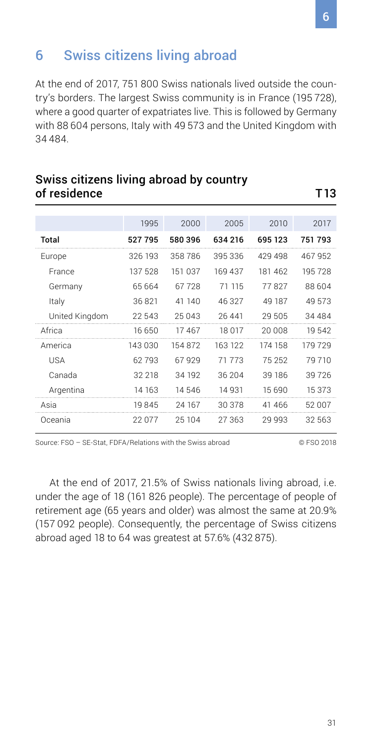# <span id="page-30-0"></span>6 Swiss citizens living abroad

At the end of 2017, 751 800 Swiss nationals lived outside the country's borders. The largest Swiss community is in France (195 728), where a good quarter of expatriates live. This is followed by Germany with 88 604 persons, Italy with 49 573 and the United Kingdom with 34 484.

#### Swiss citizens living abroad by country of residence T13

1995 2000 2005 2010 2017 Total 527 795 580 396 634 216 695 123 751 793 Europe 326 193 358 786 395 336 429 498 467 952 France 137 528 151 037 169 437 181 462 195 728 Germany 65 664 67 728 71 115 77 827 88 604 Italy 36 821 41 140 46 327 49 187 49 573 United Kingdom 22 543 25 043 26 441 29 505 34 484 Africa 16 650 17 467 18 017 20 008 19 542 America 143 030 154 872 163 122 174 158 179 729 USA 62 793 67 929 71 773 75 252 79 710 Canada 32 218 34 192 36 204 39 186 39 726 Argentina 14 163 14 546 14 931 15 690 15 373 Asia 19 845 24 167 30 378 41 466 52 007 Oceania 22 077 25 104 27 363 29 993 32 563

Source: FSO – SE-Stat, FDEA/Relations with the Swiss abroad  $\otimes$  FSO 2018

At the end of 2017, 21.5% of Swiss nationals living abroad, i.e. under the age of 18 (161 826 people). The percentage of people of retirement age (65 years and older) was almost the same at 20.9% (157 092 people). Consequently, the percentage of Swiss citizens abroad aged 18 to 64 was greatest at 57.6% (432 875).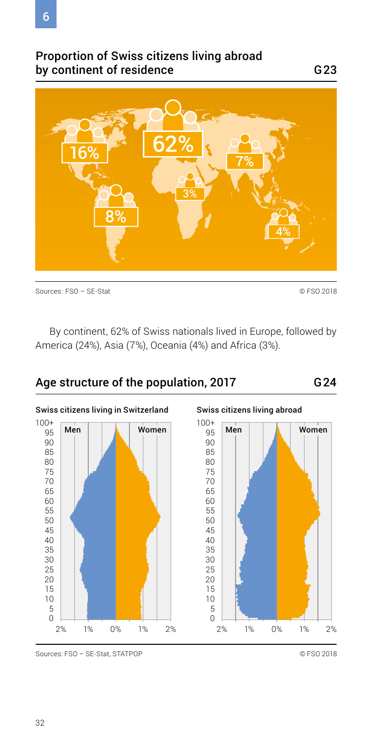# Proportion of Swiss citizens living abroad by continent of residence  $\qquad \qquad \qquad \qquad \qquad$  G23



G24

By continent, 62% of Swiss nationals lived in Europe, followed by America (24%), Asia (7%), Oceania (4%) and Africa (3%).

Age structure of the population, 2017



Sources: FSO – SE-Stat, STATPOP © FSO 2018

Australia 24900 and 24900 and 24900 and 24900 and 24900 and 24900 and 24900 and 24900 and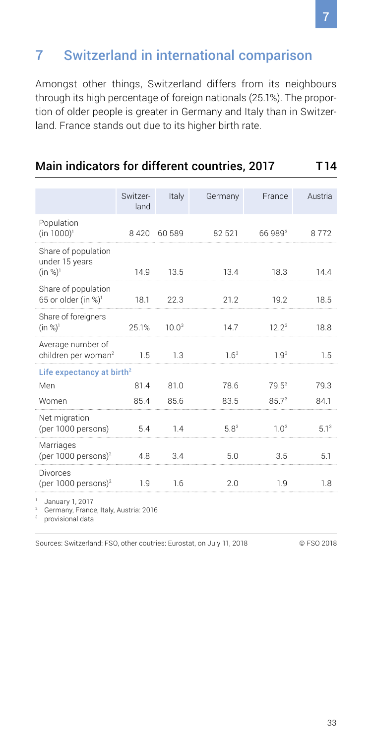# <span id="page-32-0"></span>7 Switzerland in international comparison

Amongst other things, Switzerland differs from its neighbours through its high percentage of foreign nationals (25.1%). The proportion of older people is greater in Germany and Italy than in Switzerland. France stands out due to its higher birth rate.

Main indicators for different countries, 2017 T14

|                                                        | Switzer-<br>land | Italy             | Germany          | France              | Austria         |  |  |
|--------------------------------------------------------|------------------|-------------------|------------------|---------------------|-----------------|--|--|
| Population<br>(in $1000$ ) <sup>1</sup>                | 8420             | 60 589            | 82 5 21          | 66 989 <sup>3</sup> | 8772            |  |  |
| Share of population<br>under 15 years<br>$(in %)^1$    | 14.9             | 13.5              | 13.4             | 18.3                | 14.4            |  |  |
| Share of population<br>65 or older (in %) <sup>1</sup> | 18.1             | 22.3              | 21.2             | 19.2                | 18.5            |  |  |
| Share of foreigners<br>$(in %)^1$                      | 25.1%            | 10.0 <sup>3</sup> | 14.7             | 12.2 <sup>3</sup>   | 18.8            |  |  |
| Average number of<br>children per woman <sup>2</sup>   | 1.5              | 1.3               | 1.6 <sup>3</sup> | 1.9 <sup>3</sup>    | 1.5             |  |  |
| Life expectancy at birth <sup>2</sup>                  |                  |                   |                  |                     |                 |  |  |
| Men                                                    | 81.4             | 81.0              | 78.6             | $79.5^3$            | 79.3            |  |  |
| Women                                                  | 85.4             | 85.6              | 83.5             | 85.7 <sup>3</sup>   | 84.1            |  |  |
| Net migration<br>(per 1000 persons)                    | 5.4              | 14                | 5.8 <sup>3</sup> | $1 \Omega3$         | 51 <sup>3</sup> |  |  |
| Marriages<br>(per 1000 persons) <sup>2</sup>           | 4.8              | 3.4               | 5.0              | 3.5                 | 5.1             |  |  |
| <b>Divorces</b><br>(per 1000 persons) <sup>2</sup>     | 1.9              | 1.6               | 2.0              | 1.9                 | 1.8             |  |  |
| January 1, 2017                                        |                  |                   |                  |                     |                 |  |  |

<sup>2</sup> Germany, France, Italy, Austria: 2016

<sup>3</sup> provisional data

Sources: Switzerland: FSO, other coutries: Eurostat, on July 11, 2018 © FSO 2018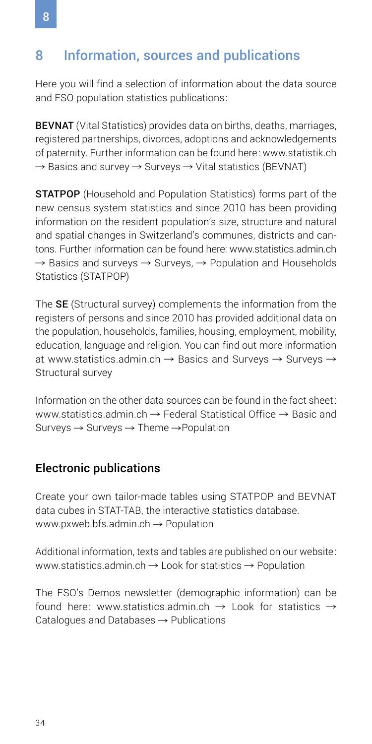# <span id="page-33-0"></span>8 Information, sources and publications

Here you will find a selection of information about the data source and FSO population statistics publications:

**BEVNAT** (Vital Statistics) provides data on births, deaths, marriages, registered partnerships, divorces, adoptions and acknowledgements of paternity. Further information can be found here: [www.statistik.ch](https://www.bfs.admin.ch/bfs/de/home/statistiken/bevoelkerung/erhebungen/bevnat.html)  $\rightarrow$  [Basics and survey](https://www.bfs.admin.ch/bfs/de/home/statistiken/bevoelkerung/erhebungen/bevnat.html)  $\rightarrow$  Surveys  $\rightarrow$  Vital statistics (BEVNAT)

STATPOP (Household and Population Statistics) forms part of the new census system statistics and since 2010 has been providing information on the resident population's size, structure and natural and spatial changes in Switzerland's communes, districts and cantons. Further information can be found here: [www.statistics.admin.ch](https://www.bfs.admin.ch/bfs/en/home/statistics/population/surveys/statpop.html)  $\rightarrow$  Basics and surveys  $\rightarrow$  Surveys,  $\rightarrow$  [Population and Households](https://www.bfs.admin.ch/bfs/en/home/statistics/population/surveys/statpop.html) Statistics [\(STATPOP\)](https://www.bfs.admin.ch/bfs/en/home/statistics/population/surveys/statpop.html)

The SE (Structural survey) complements the information from the registers of persons and since 2010 has provided additional data on the population, households, families, housing, employment, mobility, education, language and religion. You can find out more information at www.statistics.admin.ch  $\rightarrow$  [Basics and Surveys](https://www.bfs.admin.ch/bfs/en/home/basics/census/four-key-elements/structural-survey.html)  $\rightarrow$  Surveys  $\rightarrow$ [Structural survey](https://www.bfs.admin.ch/bfs/en/home/basics/census/four-key-elements/structural-survey.html)

Information on the other data sources can be found in the fact sheet: www.statistics.admin.ch  $\rightarrow$  [Federal Statistical Office](https://www.bfs.admin.ch/bfs/en/home/basics/surveys.html)  $\rightarrow$  Basic and Surveys  $\rightarrow$  Surveys  $\rightarrow$  Theme  $\rightarrow$  [Population](https://www.bfs.admin.ch/bfs/en/home/basics/surveys.html)

#### Electronic publications

Create your own tailor-made tables using STATPOP and BEVNAT data cubes in STAT-TAB, the interactive statistics database. [www.pxweb.bfs.admin.ch](https://www.pxweb.bfs.admin.ch/pxweb/de/%3Frxid%3Ddbe759ad-adee-473f-8006-326d72636275)  $\rightarrow$  Population

Additional information, texts and tables are published on our website: [www.statistics.admin.ch](https://www.bfs.admin.ch/bfs/en/home/statistics/population.html)  $\rightarrow$  Look for statistics  $\rightarrow$  Population

The FSO's Demos newsletter (demographic information) can be found here: [www.statistics.admin.ch](https://www.bfs.admin.ch/bfs/en/home/statistics/catalogues-databases/publications.html)  $\rightarrow$  Look for statistics  $\rightarrow$ [Catalogues and Databases](https://www.bfs.admin.ch/bfs/en/home/statistics/catalogues-databases/publications.html)  $\rightarrow$  Publications